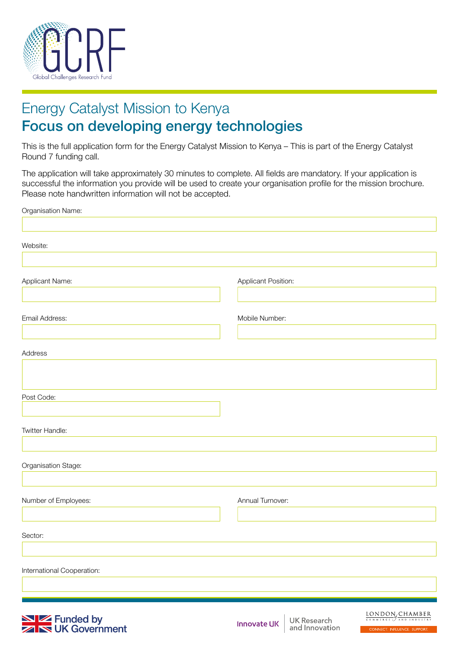

# Energy Catalyst Mission to Kenya Focus on developing energy technologies

This is the full application form for the Energy Catalyst Mission to Kenya – This is part of the Energy Catalyst Round 7 funding call.

The application will take approximately 30 minutes to complete. All fields are mandatory. If your application is successful the information you provide will be used to create your organisation profile for the mission brochure. Please note handwritten information will not be accepted.

| Organisation Name:                     |                     |                               |                                                                                                                                      |
|----------------------------------------|---------------------|-------------------------------|--------------------------------------------------------------------------------------------------------------------------------------|
| Website:                               |                     |                               |                                                                                                                                      |
| Applicant Name:                        | Applicant Position: |                               |                                                                                                                                      |
| Email Address:                         | Mobile Number:      |                               |                                                                                                                                      |
| Address                                |                     |                               |                                                                                                                                      |
| Post Code:                             |                     |                               |                                                                                                                                      |
| Twitter Handle:                        |                     |                               |                                                                                                                                      |
| Organisation Stage:                    |                     |                               |                                                                                                                                      |
| Number of Employees:                   | Annual Turnover:    |                               |                                                                                                                                      |
| Sector:                                |                     |                               |                                                                                                                                      |
| International Cooperation:             |                     |                               |                                                                                                                                      |
| Serve Funded by<br>Serve UK Government | <b>Innovate UK</b>  | UK Research<br>and Innovation | $\underbrace{\text{LONDON}}_{\text{COMMERGE}} \underbrace{\text{CHAMBER}}_{\text{AND IND INDUSTRY}}$<br>CONNECT. INFLUENCE. SUPPORT. |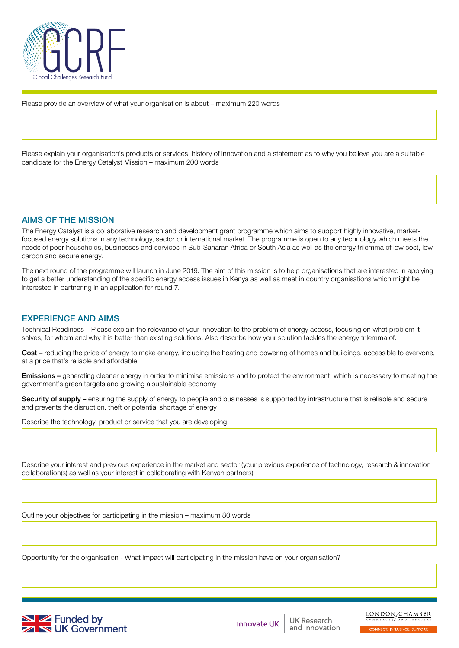

Please provide an overview of what your organisation is about – maximum 220 words

Please explain your organisation's products or services, history of innovation and a statement as to why you believe you are a suitable candidate for the Energy Catalyst Mission – maximum 200 words

### AIMS OF THE MISSION

The Energy Catalyst is a collaborative research and development grant programme which aims to support highly innovative, marketfocused energy solutions in any technology, sector or international market. The programme is open to any technology which meets the needs of poor households, businesses and services in Sub-Saharan Africa or South Asia as well as the energy trilemma of low cost, low carbon and secure energy.

The next round of the programme will launch in June 2019. The aim of this mission is to help organisations that are interested in applying to get a better understanding of the specific energy access issues in Kenya as well as meet in country organisations which might be interested in partnering in an application for round 7.

## EXPERIENCE AND AIMS

Technical Readiness – Please explain the relevance of your innovation to the problem of energy access, focusing on what problem it solves, for whom and why it is better than existing solutions. Also describe how your solution tackles the energy trilemma of:

Cost – reducing the price of energy to make energy, including the heating and powering of homes and buildings, accessible to everyone, at a price that's reliable and affordable

Emissions – generating cleaner energy in order to minimise emissions and to protect the environment, which is necessary to meeting the government's green targets and growing a sustainable economy

Security of supply – ensuring the supply of energy to people and businesses is supported by infrastructure that is reliable and secure and prevents the disruption, theft or potential shortage of energy

Describe the technology, product or service that you are developing

Describe your interest and previous experience in the market and sector (your previous experience of technology, research & innovation collaboration(s) as well as your interest in collaborating with Kenyan partners)

Outline your objectives for participating in the mission – maximum 80 words

Opportunity for the organisation - What impact will participating in the mission have on your organisation?



**Innovate UK** 

UK Research and Innovation LONDON<sub>s</sub>CHAMBER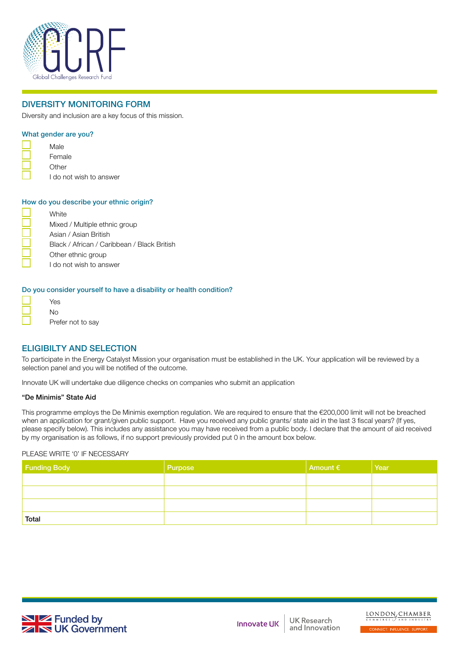

# DIVERSITY MONITORING FORM

Diversity and inclusion are a key focus of this mission.

## What gender are you?

- Male Female **Other** 
	- I do not wish to answer

#### How do you describe your ethnic origin?

| White                                       |
|---------------------------------------------|
| Mixed / Multiple ethnic group               |
| Asian / Asian British                       |
| Black / African / Caribbean / Black British |
| Other ethnic group                          |
| I do not wish to answer                     |

#### Do you consider yourself to have a disability or health condition?

| Yes               |
|-------------------|
| N٥                |
| Prefer not to say |

# ELIGIBILTY AND SELECTION

To participate in the Energy Catalyst Mission your organisation must be established in the UK. Your application will be reviewed by a selection panel and you will be notified of the outcome.

Innovate UK will undertake due diligence checks on companies who submit an application

#### "De Minimis" State Aid

This programme employs the De Minimis exemption regulation. We are required to ensure that the €200,000 limit will not be breached when an application for grant/given public support. Have you received any public grants/ state aid in the last 3 fiscal years? (If yes, please specify below). This includes any assistance you may have received from a public body. I declare that the amount of aid received by my organisation is as follows, if no support previously provided put 0 in the amount box below.

#### PLEASE WRITE '0' IF NECESSARY

| <b>Funding Body</b> | Purpose | Amount $\epsilon$ | Year |
|---------------------|---------|-------------------|------|
|                     |         |                   |      |
|                     |         |                   |      |
|                     |         |                   |      |
| Total               |         |                   |      |



**UK Research** and Innovation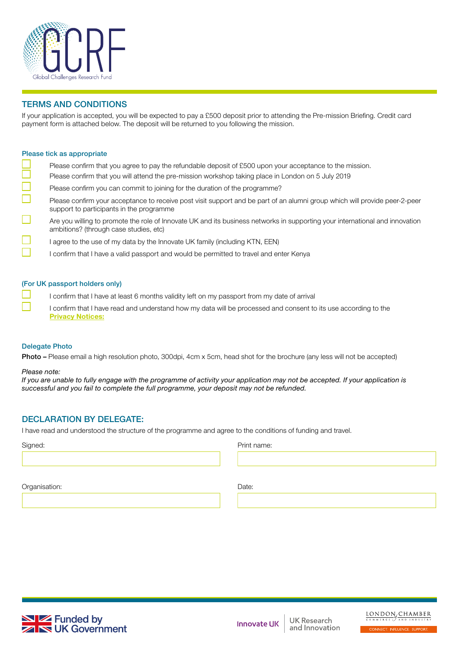

# TERMS AND CONDITIONS

If your application is accepted, you will be expected to pay a £500 deposit prior to attending the Pre-mission Briefing. Credit card payment form is attached below. The deposit will be returned to you following the mission.

#### Please tick as appropriate

- Please confirm that you agree to pay the refundable deposit of £500 upon your acceptance to the mission. Please confirm that you will attend the pre-mission workshop taking place in London on 5 July 2019 Please confirm you can commit to joining for the duration of the programme? Please confirm your acceptance to receive post visit support and be part of an alumni group which will provide peer-2-peer support to participants in the programme
	- Are you willing to promote the role of Innovate UK and its business networks in supporting your international and innovation ambitions? (through case studies, etc)
		- I agree to the use of my data by the Innovate UK family (including KTN, EEN)
			- I confirm that I have a valid passport and would be permitted to travel and enter Kenya

### (For UK passport holders only)

- I confirm that I have at least 6 months validity left on my passport from my date of arrival
- I confirm that I have read and understand how my data will be processed and consent to its use according to the **[Privacy Notices:](https://www.gov.uk/government/organisations/innovate-uk/about/personal-information-charter)**

### Delegate Photo

Photo – Please email a high resolution photo, 300dpi, 4cm x 5cm, head shot for the brochure (any less will not be accepted)

#### *Please note:*

*If you are unable to fully engage with the programme of activity your application may not be accepted. If your application is successful and you fail to complete the full programme, your deposit may not be refunded.*

## DECLARATION BY DELEGATE:

I have read and understood the structure of the programme and agree to the conditions of funding and travel.

Signed: **Print name:** Print name: **Print name:** Print name: **Print name:** Print name: **Print name:** Print name: **Print name: Print name: Print name: Print name: Print name: Print name: Print name: Print name:** 

Organisation: Date:



**Innovate UK**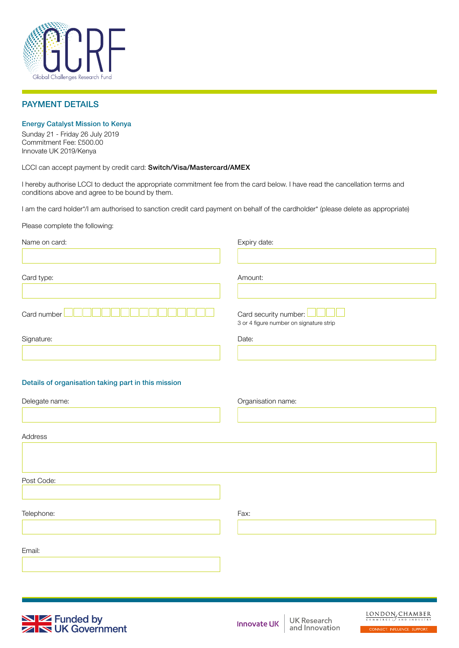

## PAYMENT DETAILS

#### Energy Catalyst Mission to Kenya

Sunday 21 - Friday 26 July 2019 Commitment Fee: £500.00 Innovate UK 2019/Kenya

LCCI can accept payment by credit card: Switch/Visa/Mastercard/AMEX

I hereby authorise LCCI to deduct the appropriate commitment fee from the card below. I have read the cancellation terms and conditions above and agree to be bound by them.

I am the card holder\*/I am authorised to sanction credit card payment on behalf of the cardholder\* (please delete as appropriate)

Please complete the following:

| Name on card:                                       | Expiry date:                                                                                                                                           |
|-----------------------------------------------------|--------------------------------------------------------------------------------------------------------------------------------------------------------|
| Card type:                                          | Amount:                                                                                                                                                |
| Card number                                         | Card security number:<br>3 or 4 figure number on signature strip                                                                                       |
| Signature:                                          | Date:                                                                                                                                                  |
| Details of organisation taking part in this mission |                                                                                                                                                        |
| Delegate name:                                      | Organisation name:                                                                                                                                     |
| Address                                             |                                                                                                                                                        |
| Post Code:                                          |                                                                                                                                                        |
| Telephone:                                          | Fax:                                                                                                                                                   |
| Email:                                              |                                                                                                                                                        |
|                                                     |                                                                                                                                                        |
| $\mathbf{N}$ <b>Z</b> Funded by                     | $\underbrace{\text{LONDON}}_{\text{COMM ERCE}} \underbrace{\text{CHAMBER}}_{\text{AND IND INRTS}}$<br>UK Research<br><b>Contract Contract Contract</b> |



UK Research and Innovation

CONNECT. INFLUENCE. SUPPORT.